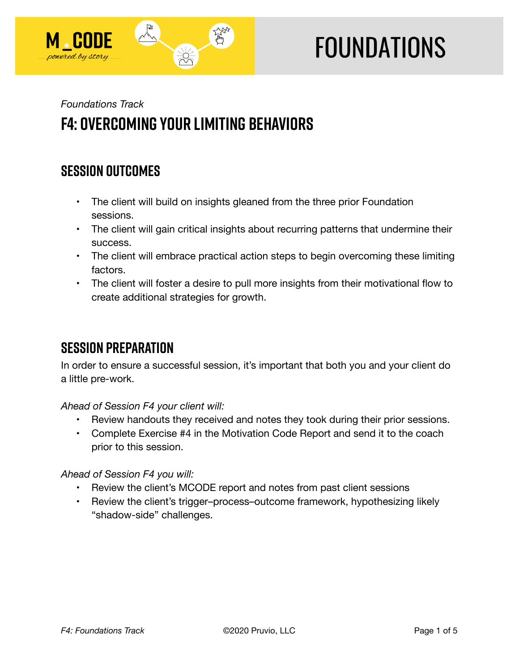

# **FOUNDATIONS**

## *Foundations Track*  **F4: Overcoming Your Limiting Behaviors**

## **SESSION OUTCOMES**

- The client will build on insights gleaned from the three prior Foundation sessions.
- The client will gain critical insights about recurring patterns that undermine their success.
- The client will embrace practical action steps to begin overcoming these limiting factors.
- The client will foster a desire to pull more insights from their motivational flow to create additional strategies for growth.

## **SESSION PREPARATION**

In order to ensure a successful session, it's important that both you and your client do a little pre-work.

## *Ahead of Session F4 your client will:*

- Review handouts they received and notes they took during their prior sessions.
- Complete Exercise #4 in the Motivation Code Report and send it to the coach prior to this session.

## *Ahead of Session F4 you will:*

- Review the client's MCODE report and notes from past client sessions
- Review the client's trigger–process–outcome framework, hypothesizing likely "shadow-side" challenges.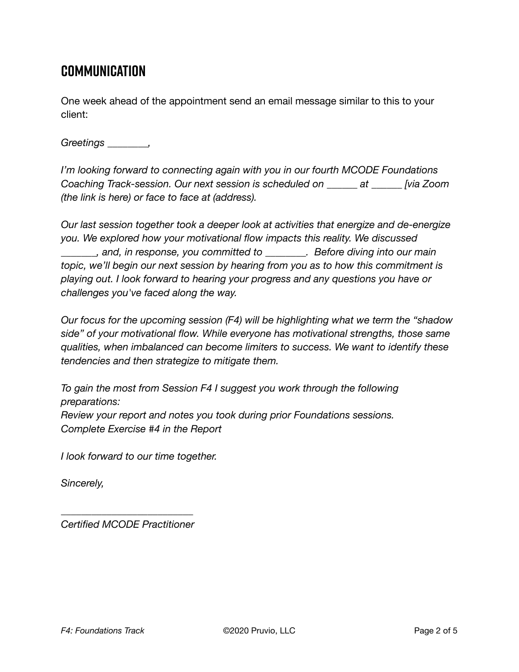## **Communication**

One week ahead of the appointment send an email message similar to this to your client:

*Greetings \_\_\_\_\_\_\_\_,* 

*I'm looking forward to connecting again with you in our fourth MCODE Foundations Coaching Track-session. Our next session is scheduled on \_\_\_\_\_\_ at \_\_\_\_\_\_ [via Zoom (the link is here) or face to face at (address).* 

*Our last session together took a deeper look at activities that energize and de-energize you. We explored how your motivational flow impacts this reality. We discussed \_\_\_\_\_\_\_, and, in response, you committed to \_\_\_\_\_\_\_\_. Before diving into our main topic, we'll begin our next session by hearing from you as to how this commitment is playing out. I look forward to hearing your progress and any questions you have or challenges you've faced along the way.* 

*Our focus for the upcoming session (F4) will be highlighting what we term the "shadow side" of your motivational flow. While everyone has motivational strengths, those same qualities, when imbalanced can become limiters to success. We want to identify these tendencies and then strategize to mitigate them.* 

*To gain the most from Session F4 I suggest you work through the following preparations: Review your report and notes you took during prior Foundations sessions. Complete Exercise #4 in the Report* 

*I look forward to our time together.* 

*Sincerely,* 

*\_\_\_\_\_\_\_\_\_\_\_\_\_\_\_\_\_\_\_\_\_\_\_\_\_\_ Certified MCODE Practitioner*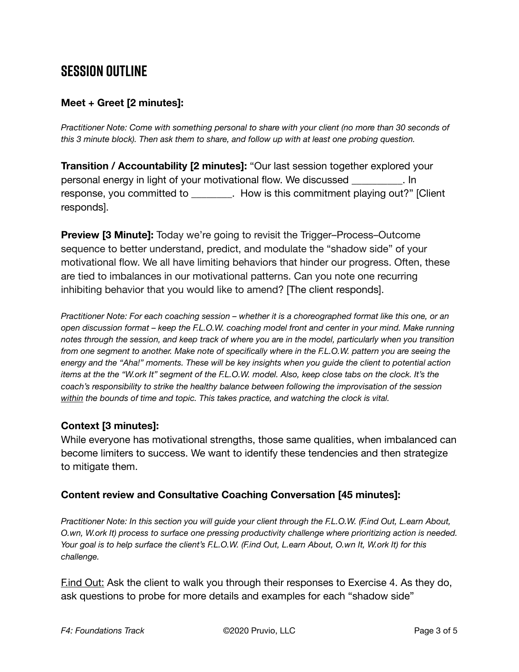## **SESSION OUTLINE**

#### **Meet + Greet [2 minutes]:**

*Practitioner Note: Come with something personal to share with your client (no more than 30 seconds of this 3 minute block). Then ask them to share, and follow up with at least one probing question.* 

**Transition / Accountability [2 minutes]:** "Our last session together explored your personal energy in light of your motivational flow. We discussed \_\_\_\_\_\_\_\_\_\_. In response, you committed to \_\_\_\_\_\_\_\_. How is this commitment playing out?" [Client responds].

**Preview [3 Minute]:** Today we're going to revisit the Trigger–Process–Outcome sequence to better understand, predict, and modulate the "shadow side" of your motivational flow. We all have limiting behaviors that hinder our progress. Often, these are tied to imbalances in our motivational patterns. Can you note one recurring inhibiting behavior that you would like to amend? [The client responds].

*Practitioner Note: For each coaching session – whether it is a choreographed format like this one, or an open discussion format – keep the F.L.O.W. coaching model front and center in your mind. Make running notes through the session, and keep track of where you are in the model, particularly when you transition from one segment to another. Make note of specifically where in the F.L.O.W. pattern you are seeing the energy and the "Aha!" moments. These will be key insights when you guide the client to potential action items at the the "W.ork It" segment of the F.L.O.W. model. Also, keep close tabs on the clock. It's the coach's responsibility to strike the healthy balance between following the improvisation of the session within the bounds of time and topic. This takes practice, and watching the clock is vital.*

#### **Context [3 minutes]:**

While everyone has motivational strengths, those same qualities, when imbalanced can become limiters to success. We want to identify these tendencies and then strategize to mitigate them.

#### **Content review and Consultative Coaching Conversation [45 minutes]:**

*Practitioner Note: In this section you will guide your client through the F.L.O.W. (F.ind Out, L.earn About, O.wn, W.ork It) process to surface one pressing productivity challenge where prioritizing action is needed. Your goal is to help surface the client's F.L.O.W. (F.ind Out, L.earn About, O.wn It, W.ork It) for this challenge.* 

**Find Out:** Ask the client to walk you through their responses to Exercise 4. As they do, ask questions to probe for more details and examples for each "shadow side"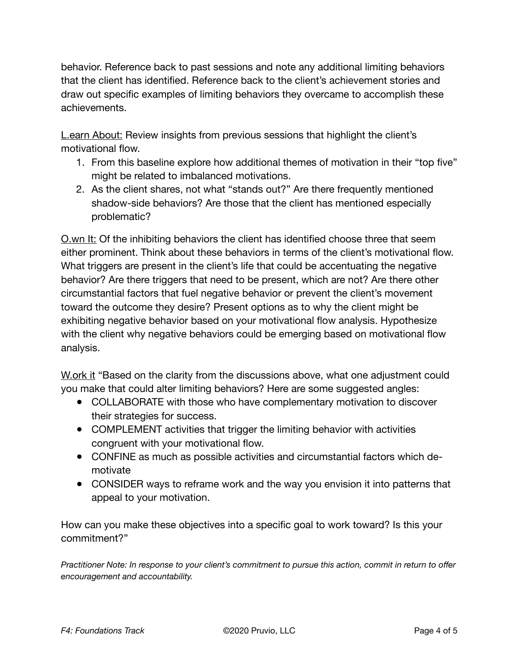behavior. Reference back to past sessions and note any additional limiting behaviors that the client has identified. Reference back to the client's achievement stories and draw out specific examples of limiting behaviors they overcame to accomplish these achievements.

**L.earn About:** Review insights from previous sessions that highlight the client's motivational flow.

- 1. From this baseline explore how additional themes of motivation in their "top five" might be related to imbalanced motivations.
- 2. As the client shares, not what "stands out?" Are there frequently mentioned shadow-side behaviors? Are those that the client has mentioned especially problematic?

O.wn It: Of the inhibiting behaviors the client has identified choose three that seem either prominent. Think about these behaviors in terms of the client's motivational flow. What triggers are present in the client's life that could be accentuating the negative behavior? Are there triggers that need to be present, which are not? Are there other circumstantial factors that fuel negative behavior or prevent the client's movement toward the outcome they desire? Present options as to why the client might be exhibiting negative behavior based on your motivational flow analysis. Hypothesize with the client why negative behaviors could be emerging based on motivational flow analysis.

W.ork it "Based on the clarity from the discussions above, what one adjustment could you make that could alter limiting behaviors? Here are some suggested angles:

- COLLABORATE with those who have complementary motivation to discover their strategies for success.
- COMPLEMENT activities that trigger the limiting behavior with activities congruent with your motivational flow.
- CONFINE as much as possible activities and circumstantial factors which demotivate
- CONSIDER ways to reframe work and the way you envision it into patterns that appeal to your motivation.

How can you make these objectives into a specific goal to work toward? Is this your commitment?"

*Practitioner Note: In response to your client's commitment to pursue this action, commit in return to offer encouragement and accountability.*